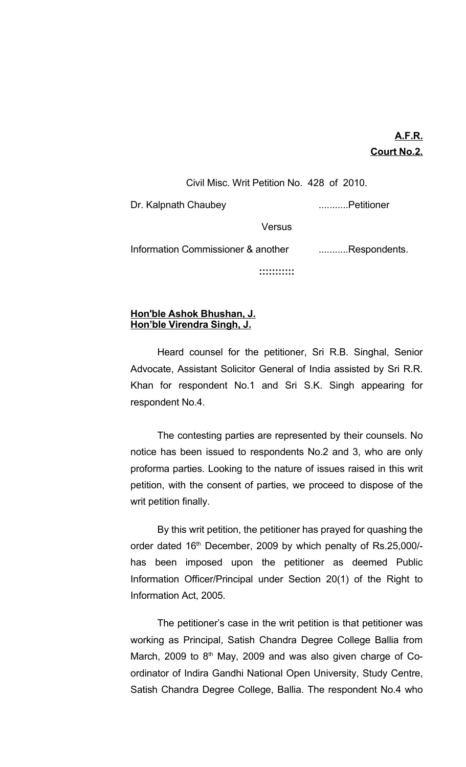## **A.F.R. Court No.2.**

Civil Misc. Writ Petition No. 428 of 2010. Dr. Kalpnath Chaubey **...........** Petitioner **Versus** Information Commissioner & another ...........Respondents. **:::::::::::**

## **Hon'ble Ashok Bhushan, J. Hon'ble Virendra Singh, J.**

Heard counsel for the petitioner, Sri R.B. Singhal, Senior Advocate, Assistant Solicitor General of India assisted by Sri R.R. Khan for respondent No.1 and Sri S.K. Singh appearing for respondent No.4.

The contesting parties are represented by their counsels. No notice has been issued to respondents No.2 and 3, who are only proforma parties. Looking to the nature of issues raised in this writ petition, with the consent of parties, we proceed to dispose of the writ petition finally.

By this writ petition, the petitioner has prayed for quashing the order dated 16<sup>th</sup> December, 2009 by which penalty of Rs.25,000/has been imposed upon the petitioner as deemed Public Information Officer/Principal under Section 20(1) of the Right to Information Act, 2005.

The petitioner's case in the writ petition is that petitioner was working as Principal, Satish Chandra Degree College Ballia from March, 2009 to 8<sup>th</sup> May, 2009 and was also given charge of Coordinator of Indira Gandhi National Open University, Study Centre, Satish Chandra Degree College, Ballia. The respondent No.4 who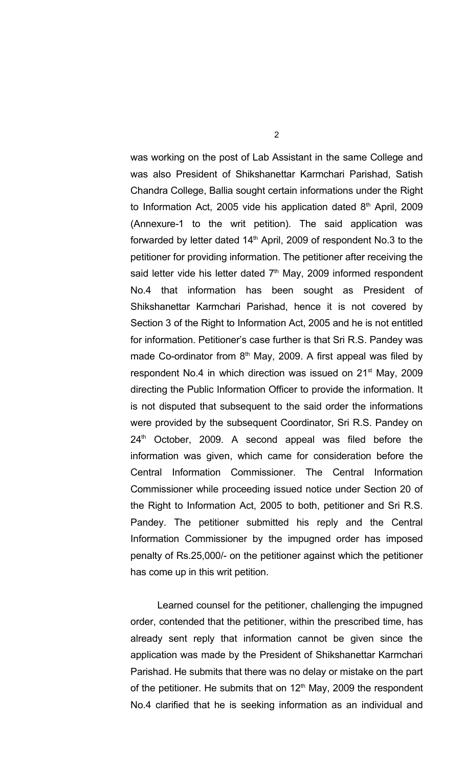was working on the post of Lab Assistant in the same College and was also President of Shikshanettar Karmchari Parishad, Satish Chandra College, Ballia sought certain informations under the Right to Information Act, 2005 vide his application dated 8<sup>th</sup> April, 2009 (Annexure-1 to the writ petition). The said application was forwarded by letter dated  $14<sup>th</sup>$  April, 2009 of respondent No.3 to the petitioner for providing information. The petitioner after receiving the said letter vide his letter dated  $7<sup>th</sup>$  May, 2009 informed respondent No.4 that information has been sought as President of Shikshanettar Karmchari Parishad, hence it is not covered by Section 3 of the Right to Information Act, 2005 and he is not entitled for information. Petitioner's case further is that Sri R.S. Pandey was made Co-ordinator from  $8<sup>th</sup>$  May, 2009. A first appeal was filed by respondent No.4 in which direction was issued on 21<sup>st</sup> May, 2009 directing the Public Information Officer to provide the information. It is not disputed that subsequent to the said order the informations were provided by the subsequent Coordinator, Sri R.S. Pandey on 24<sup>th</sup> October, 2009. A second appeal was filed before the information was given, which came for consideration before the Central Information Commissioner. The Central Information Commissioner while proceeding issued notice under Section 20 of the Right to Information Act, 2005 to both, petitioner and Sri R.S. Pandey. The petitioner submitted his reply and the Central Information Commissioner by the impugned order has imposed penalty of Rs.25,000/- on the petitioner against which the petitioner has come up in this writ petition.

Learned counsel for the petitioner, challenging the impugned order, contended that the petitioner, within the prescribed time, has already sent reply that information cannot be given since the application was made by the President of Shikshanettar Karmchari Parishad. He submits that there was no delay or mistake on the part of the petitioner. He submits that on  $12<sup>th</sup>$  May, 2009 the respondent No.4 clarified that he is seeking information as an individual and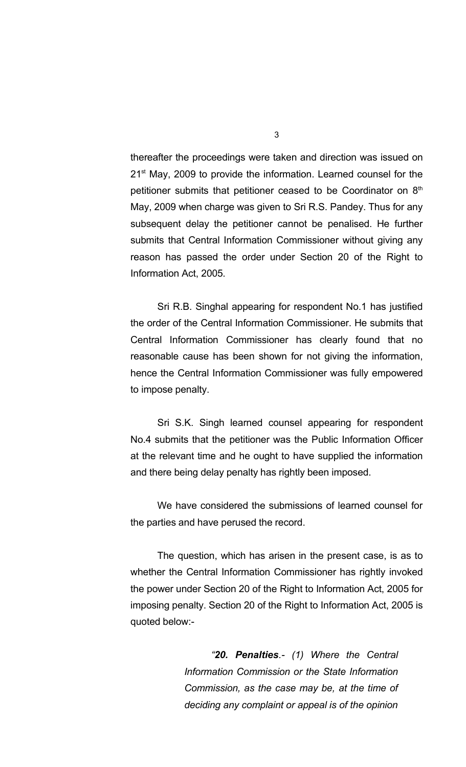thereafter the proceedings were taken and direction was issued on 21<sup>st</sup> May, 2009 to provide the information. Learned counsel for the petitioner submits that petitioner ceased to be Coordinator on  $8<sup>th</sup>$ May, 2009 when charge was given to Sri R.S. Pandey. Thus for any subsequent delay the petitioner cannot be penalised. He further submits that Central Information Commissioner without giving any reason has passed the order under Section 20 of the Right to Information Act, 2005.

Sri R.B. Singhal appearing for respondent No.1 has justified the order of the Central Information Commissioner. He submits that Central Information Commissioner has clearly found that no reasonable cause has been shown for not giving the information, hence the Central Information Commissioner was fully empowered to impose penalty.

Sri S.K. Singh learned counsel appearing for respondent No.4 submits that the petitioner was the Public Information Officer at the relevant time and he ought to have supplied the information and there being delay penalty has rightly been imposed.

We have considered the submissions of learned counsel for the parties and have perused the record.

The question, which has arisen in the present case, is as to whether the Central Information Commissioner has rightly invoked the power under Section 20 of the Right to Information Act, 2005 for imposing penalty. Section 20 of the Right to Information Act, 2005 is quoted below:-

> *"20. Penalties.- (1) Where the Central Information Commission or the State Information Commission, as the case may be, at the time of deciding any complaint or appeal is of the opinion*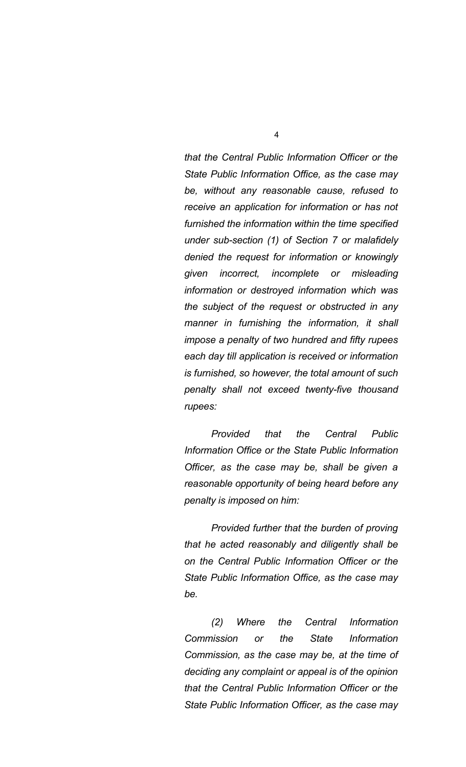*that the Central Public Information Officer or the State Public Information Office, as the case may be, without any reasonable cause, refused to receive an application for information or has not furnished the information within the time specified under sub-section (1) of Section 7 or malafidely denied the request for information or knowingly given incorrect, incomplete or misleading information or destroyed information which was the subject of the request or obstructed in any manner in furnishing the information, it shall impose a penalty of two hundred and fifty rupees each day till application is received or information is furnished, so however, the total amount of such penalty shall not exceed twenty-five thousand rupees:*

*Provided that the Central Public Information Office or the State Public Information Officer, as the case may be, shall be given a reasonable opportunity of being heard before any penalty is imposed on him:*

*Provided further that the burden of proving that he acted reasonably and diligently shall be on the Central Public Information Officer or the State Public Information Office, as the case may be.*

*(2) Where the Central Information Commission or the State Information Commission, as the case may be, at the time of deciding any complaint or appeal is of the opinion that the Central Public Information Officer or the State Public Information Officer, as the case may*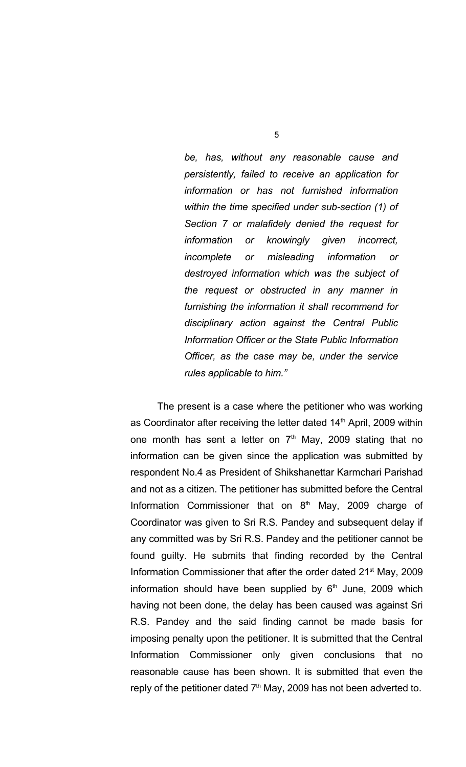*be, has, without any reasonable cause and persistently, failed to receive an application for information or has not furnished information within the time specified under sub-section (1) of Section 7 or malafidely denied the request for information or knowingly given incorrect, incomplete or misleading information or destroyed information which was the subject of the request or obstructed in any manner in furnishing the information it shall recommend for disciplinary action against the Central Public Information Officer or the State Public Information Officer, as the case may be, under the service rules applicable to him."*

The present is a case where the petitioner who was working as Coordinator after receiving the letter dated 14<sup>th</sup> April, 2009 within one month has sent a letter on  $7<sup>th</sup>$  May, 2009 stating that no information can be given since the application was submitted by respondent No.4 as President of Shikshanettar Karmchari Parishad and not as a citizen. The petitioner has submitted before the Central Information Commissioner that on  $8<sup>th</sup>$  May, 2009 charge of Coordinator was given to Sri R.S. Pandey and subsequent delay if any committed was by Sri R.S. Pandey and the petitioner cannot be found guilty. He submits that finding recorded by the Central Information Commissioner that after the order dated 21<sup>st</sup> May, 2009 information should have been supplied by 6<sup>th</sup> June, 2009 which having not been done, the delay has been caused was against Sri R.S. Pandey and the said finding cannot be made basis for imposing penalty upon the petitioner. It is submitted that the Central Information Commissioner only given conclusions that no reasonable cause has been shown. It is submitted that even the reply of the petitioner dated  $7<sup>th</sup>$  May, 2009 has not been adverted to.

5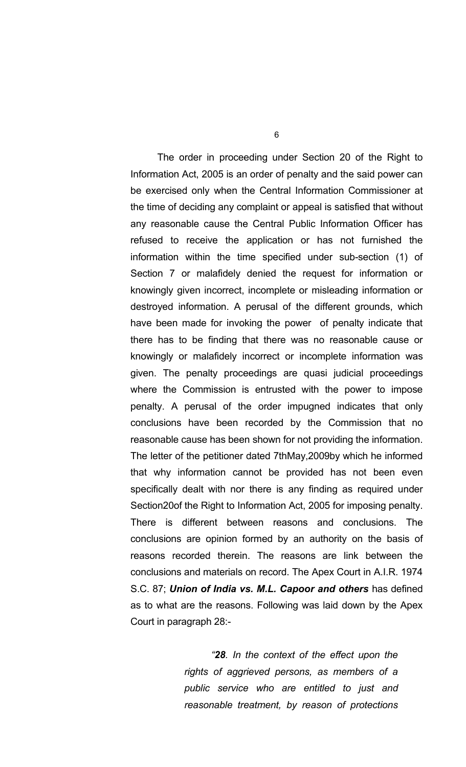The order in proceeding under Section 20 of the Right to Information Act, 2005 is an order of penalty and the said power can be exercised only when the Central Information Commissioner at the time of deciding any complaint or appeal is satisfied that without any reasonable cause the Central Public Information Officer has refused to receive the application or has not furnished the information within the time specified under sub-section (1) of Section 7 or malafidely denied the request for information or knowingly given incorrect, incomplete or misleading information or destroyed information. A perusal of the different grounds, which have been made for invoking the power of penalty indicate that there has to be finding that there was no reasonable cause or knowingly or malafidely incorrect or incomplete information was given. The penalty proceedings are quasi judicial proceedings where the Commission is entrusted with the power to impose penalty. A perusal of the order impugned indicates that only conclusions have been recorded by the Commission that no reasonable cause has been shown for not providing the information. The letter of the petitioner dated 7thMay,2009by which he informed that why information cannot be provided has not been even specifically dealt with nor there is any finding as required under Section20of the Right to Information Act, 2005 for imposing penalty. There is different between reasons and conclusions. The conclusions are opinion formed by an authority on the basis of reasons recorded therein. The reasons are link between the conclusions and materials on record. The Apex Court in A.I.R. 1974 S.C. 87; *Union of India vs. M.L. Capoor and others* has defined as to what are the reasons. Following was laid down by the Apex Court in paragraph 28:-

> *"28. In the context of the effect upon the rights of aggrieved persons, as members of a public service who are entitled to just and reasonable treatment, by reason of protections*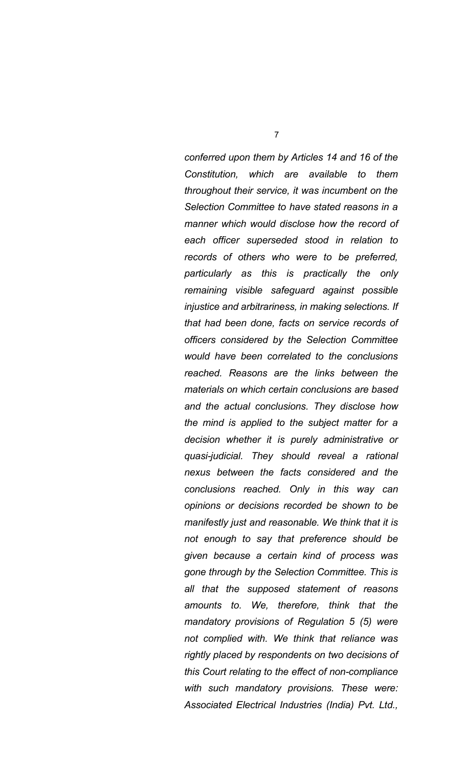*conferred upon them by Articles 14 and 16 of the Constitution, which are available to them throughout their service, it was incumbent on the Selection Committee to have stated reasons in a manner which would disclose how the record of each officer superseded stood in relation to records of others who were to be preferred, particularly as this is practically the only remaining visible safeguard against possible injustice and arbitrariness, in making selections. If that had been done, facts on service records of officers considered by the Selection Committee would have been correlated to the conclusions reached. Reasons are the links between the materials on which certain conclusions are based and the actual conclusions. They disclose how the mind is applied to the subject matter for a decision whether it is purely administrative or quasi-judicial. They should reveal a rational nexus between the facts considered and the conclusions reached. Only in this way can opinions or decisions recorded be shown to be manifestly just and reasonable. We think that it is not enough to say that preference should be given because a certain kind of process was gone through by the Selection Committee. This is all that the supposed statement of reasons amounts to. We, therefore, think that the mandatory provisions of Regulation 5 (5) were not complied with. We think that reliance was rightly placed by respondents on two decisions of this Court relating to the effect of non-compliance with such mandatory provisions. These were: Associated Electrical Industries (India) Pvt. Ltd.,*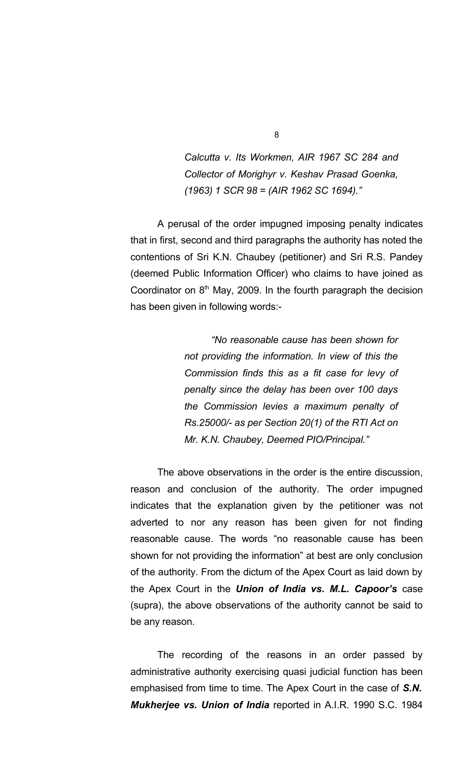*Calcutta v. Its Workmen, AIR 1967 SC 284 and Collector of Morighyr v. Keshav Prasad Goenka, (1963) 1 SCR 98 = (AIR 1962 SC 1694)."*

A perusal of the order impugned imposing penalty indicates that in first, second and third paragraphs the authority has noted the contentions of Sri K.N. Chaubey (petitioner) and Sri R.S. Pandey (deemed Public Information Officer) who claims to have joined as Coordinator on  $8<sup>th</sup>$  May, 2009. In the fourth paragraph the decision has been given in following words:-

> *"No reasonable cause has been shown for not providing the information. In view of this the Commission finds this as a fit case for levy of penalty since the delay has been over 100 days the Commission levies a maximum penalty of Rs.25000/- as per Section 20(1) of the RTI Act on Mr. K.N. Chaubey, Deemed PIO/Principal."*

The above observations in the order is the entire discussion, reason and conclusion of the authority. The order impugned indicates that the explanation given by the petitioner was not adverted to nor any reason has been given for not finding reasonable cause. The words "no reasonable cause has been shown for not providing the information" at best are only conclusion of the authority. From the dictum of the Apex Court as laid down by the Apex Court in the *Union of India vs. M.L. Capoor's* case (supra), the above observations of the authority cannot be said to be any reason.

The recording of the reasons in an order passed by administrative authority exercising quasi judicial function has been emphasised from time to time. The Apex Court in the case of *S.N. Mukherjee vs. Union of India* reported in A.I.R. 1990 S.C. 1984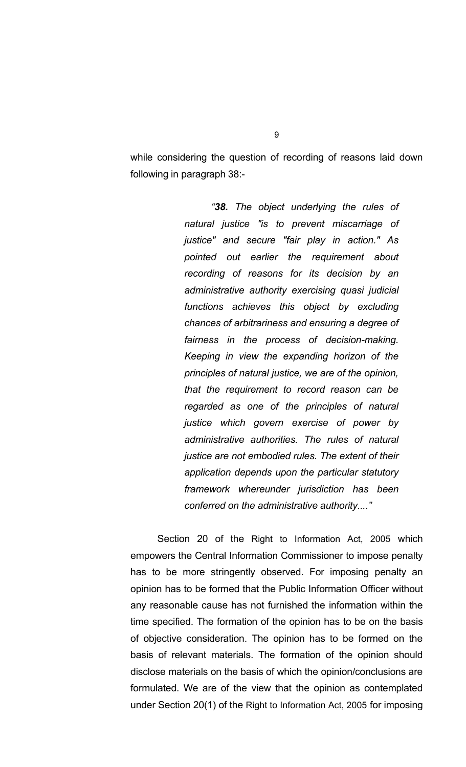while considering the question of recording of reasons laid down following in paragraph 38:-

> *"38. The object underlying the rules of natural justice "is to prevent miscarriage of justice" and secure "fair play in action." As pointed out earlier the requirement about recording of reasons for its decision by an administrative authority exercising quasi judicial functions achieves this object by excluding chances of arbitrariness and ensuring a degree of fairness in the process of decision-making. Keeping in view the expanding horizon of the principles of natural justice, we are of the opinion, that the requirement to record reason can be regarded as one of the principles of natural justice which govern exercise of power by administrative authorities. The rules of natural justice are not embodied rules. The extent of their application depends upon the particular statutory framework whereunder jurisdiction has been conferred on the administrative authority...."*

Section 20 of the Right to Information Act, 2005 which empowers the Central Information Commissioner to impose penalty has to be more stringently observed. For imposing penalty an opinion has to be formed that the Public Information Officer without any reasonable cause has not furnished the information within the time specified. The formation of the opinion has to be on the basis of objective consideration. The opinion has to be formed on the basis of relevant materials. The formation of the opinion should disclose materials on the basis of which the opinion/conclusions are formulated. We are of the view that the opinion as contemplated under Section 20(1) of the Right to Information Act, 2005 for imposing